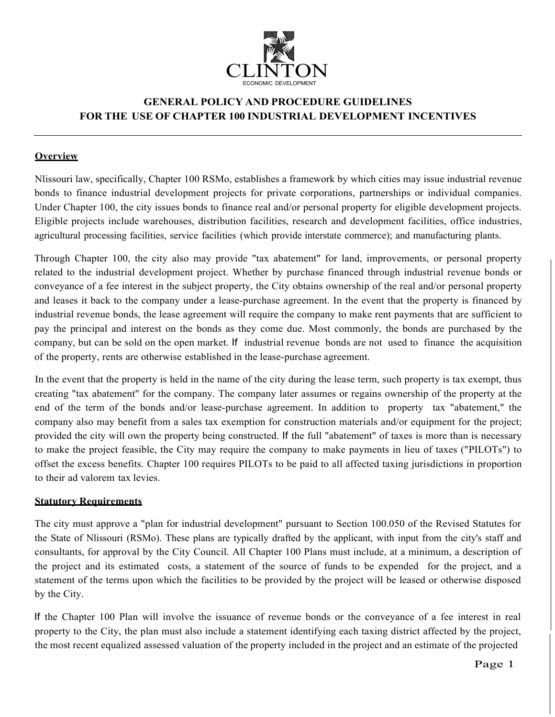

# **GENERAL POLICY AND PROCEDURE GUIDELINES FOR THE USE OF CHAPTER 100 INDUSTRIAL DEVELOPMENT INCENTIVES**

### **Overview**

Nlissouri law, specifically, Chapter 100 RSMo, establishes a framework by which cities may issue industrial revenue bonds to finance industrial development projects for private corporations, partnerships or individual companies. Under Chapter 100, the city issues bonds to finance real and/or personal property for eligible development projects. Eligible projects include warehouses, distribution facilities, research and development facilities, office industries, agricultural processing facilities, service facilities (which provide interstate commerce); and manufacturing plants.

Through Chapter 100, the city also may provide "tax abatement" for land, improvements, or personal property related to the industrial development project. Whether by purchase financed through industrial revenue bonds or conveyance of a fee interest in the subject property, the City obtains ownership of the real and/or personal property and leases it back to the company under a lease-purchase agreement. In the event that the property is financed by industrial revenue bonds, the lease agreement will require the company to make rent payments that are sufficient to pay the principal and interest on the bonds as they come due. Most commonly, the bonds are purchased by the company, but can be sold on the open market. If industrial revenue bonds are not used to finance the acquisition of the property, rents are otherwise established in the lease-purchase agreement.

In the event that the property is held in the name of the city during the lease term, such property is tax exempt, thus creating "tax abatement" for the company. The company later assumes or regains ownership of the property at the end of the term of the bonds and/or lease-purchase agreement. In addition to property tax "abatement," the company also may benefit from a sales tax exemption for construction materials and/or equipment for the project; provided the city will own the property being constructed. If the full "abatement" of taxes is more than is necessary to make the project feasible, the City may require the company to make payments in lieu of taxes ("PILOTs") to offset the excess benefits. Chapter 100 requires PILOTs to be paid to all affected taxing jurisdictions in proportion to their ad valorem tax levies.

#### **Statutory Requirements**

The city must approve a "plan for industrial development" pursuant to Section 100.050 of the Revised Statutes for the State of Nlissouri (RSMo). These plans are typically drafted by the applicant, with input from the city's staff and consultants, for approval by the City Council. All Chapter 100 Plans must include, at a minimum, a description of the project and its estimated costs, a statement of the source of funds to be expended for the project, and a statement of the terms upon which the facilities to be provided by the project will be leased or otherwise disposed by the City.

If the Chapter 100 Plan will involve the issuance of revenue bonds or the conveyance of a fee interest in real property to the City, the plan must also include a statement identifying each taxing district affected by the project, the most recent equalized assessed valuation of the property included in the project and an estimate of the projected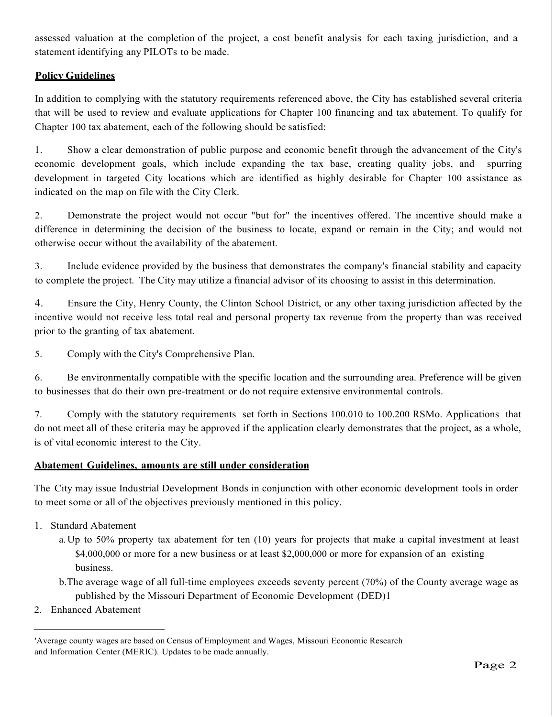assessed valuation at the completion of the project, a cost benefit analysis for each taxing jurisdiction, and a statement identifying any PILOTs to be made.

# **Policy Guidelines**

In addition to complying with the statutory requirements referenced above, the City has established several criteria that will be used to review and evaluate applications for Chapter 100 financing and tax abatement. To qualify for Chapter 100 tax abatement, each of the following should be satisfied:

1. Show a clear demonstration of public purpose and economic benefit through the advancement of the City's economic development goals, which include expanding the tax base, creating quality jobs, and spurring development in targeted City locations which are identified as highly desirable for Chapter 100 assistance as indicated on the map on file with the City Clerk.

2. Demonstrate the project would not occur "but for" the incentives offered. The incentive should make a difference in determining the decision of the business to locate, expand or remain in the City; and would not otherwise occur without the availability of the abatement.

3. Include evidence provided by the business that demonstrates the company's financial stability and capacity to complete the project. The City may utilize a financial advisor of its choosing to assist in this determination.

4. Ensure the City, Henry County, the Clinton School District, or any other taxing jurisdiction affected by the incentive would not receive less total real and personal property tax revenue from the property than was received prior to the granting of tax abatement.

5. Comply with the City's Comprehensive Plan.

6. Be environmentally compatible with the specific location and the surrounding area. Preference will be given to businesses that do their own pre-treatment or do not require extensive environmental controls.

7. Comply with the statutory requirements set forth in Sections 100.010 to 100.200 RSMo. Applications that do not meet all of these criteria may be approved if the application clearly demonstrates that the project, as a whole, is of vital economic interest to the City.

## **Abatement Guidelines, amounts are still under consideration**

The City may issue Industrial Development Bonds in conjunction with other economic development tools in order to meet some or all of the objectives previously mentioned in this policy.

- 1. Standard Abatement
	- a.Up to 50% property tax abatement for ten (10) years for projects that make a capital investment at least \$4,000,000 or more for a new business or at least \$2,000,000 or more for expansion of an existing business.
	- b.The average wage of all full-time employees exceeds seventy percent (70%) of the County average wage as published by the Missouri Department of Economic Development (DED)1
- 2. Enhanced Abatement

<sup>&#</sup>x27;Average county wages are based on Census of Employment and Wages, Missouri Economic Research and Information Center (MERIC). Updates to be made annually.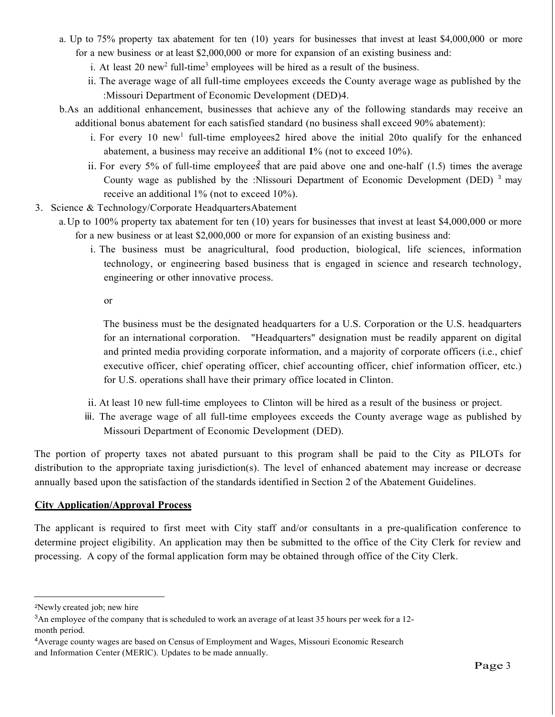- a. Up to 75% property tax abatement for ten (10) years for businesses that invest at least \$4,000,000 or more for a new business or at least \$2,000,000 or more for expansion of an existing business and:
	- i. At least 20 new<sup>2</sup> full-time<sup>3</sup> employees will be hired as a result of the business.
	- ii. The average wage of all full-time employees exceeds the County average wage as published by the :Missouri Department of Economic Development (DED)4.
- b.As an additional enhancement, businesses that achieve any of the following standards may receive an additional bonus abatement for each satisfied standard (no business shall exceed 90% abatement):
	- i. For every 10 new<sup>1</sup> full-time employees2 hired above the initial 20to qualify for the enhanced abatement, a business may receive an additional **1**% (not to exceed 10%).
	- ii. For every 5% of full-time employees that are paid above one and one-half (1.5) times the average County wage as published by the :Nlissouri Department of Economic Development (DED)  $3 \text{ may}$ receive an additional 1% (not to exceed 10%).
- 3. Science & Technology/Corporate HeadquartersAbatement
	- a.Up to 100% property tax abatement for ten (10) years for businesses that invest at least \$4,000,000 or more for a new business or at least \$2,000,000 or more for expansion of an existing business and:
		- i. The business must be anagricultural, food production, biological, life sciences, information technology, or engineering based business that is engaged in science and research technology, engineering or other innovative process.

or

The business must be the designated headquarters for a U.S. Corporation or the U.S. headquarters for an international corporation. "Headquarters" designation must be readily apparent on digital and printed media providing corporate information, and a majority of corporate officers (i.e., chief executive officer, chief operating officer, chief accounting officer, chief information officer, etc.) for U.S. operations shall have their primary office located in Clinton.

- ii. At least 10 new full-time employees to Clinton will be hired as a result of the business or project.
- iii. The average wage of all full-time employees exceeds the County average wage as published by Missouri Department of Economic Development (DED).

The portion of property taxes not abated pursuant to this program shall be paid to the City as PILOTs for distribution to the appropriate taxing jurisdiction(s). The level of enhanced abatement may increase or decrease annually based upon the satisfaction of the standards identified in Section 2 of the Abatement Guidelines.

## **City Application/Approval Process**

The applicant is required to first meet with City staff and/or consultants in a pre-qualification conference to determine project eligibility. An application may then be submitted to the office of the City Clerk for review and processing. A copy of the formal application form may be obtained through office of the City Clerk.

<sup>2</sup>Newly created job; new hire

<sup>3</sup> An employee of the company that is scheduled to work an average of at least 35 hours per week for a 12 month period.

<sup>4</sup> Average county wages are based on Census of Employment and Wages, Missouri Economic Research and Information Center (MERlC). Updates to be made annually.